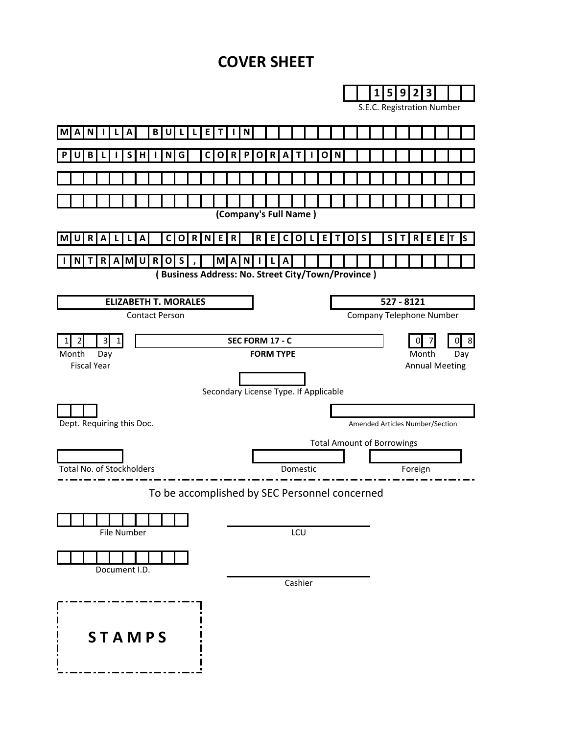# **COVER SHEET**

| 1<br>5<br>9<br>3<br>2<br>S.E.C. Registration Number<br>B<br>N<br>U<br>Е<br>А<br>Т<br>$\mathsf{s}$<br>G<br>O R <br> C <br>$\mathbf R$<br>H<br>$\mathbf{o}$<br>O<br>B<br>N<br>P<br>A<br>т<br>N<br>(Company's Full Name)<br>S<br>R<br>R<br>R<br>E<br>S<br>R<br>R<br>E<br>E<br>E<br>E  T<br>A<br>C<br>$\mathbf{o}$<br>C<br>$\mathbf{O}$<br>$\mathbf{o}$<br>ΙS<br>A<br>N.<br>L<br>ΤI<br>T<br>R<br>$A$ M U<br>$\mathbf R$<br>$\mathbf{o}$<br>S<br>M A<br>N<br>A<br>T<br>NI<br>(Business Address: No. Street City/Town/Province)<br>527 - 8121<br><b>ELIZABETH T. MORALES</b><br><b>Company Telephone Number</b><br><b>Contact Person</b><br>$\overline{3}$<br>SEC FORM 17 - C<br>$1\vert$<br>8<br>2<br>Û<br><b>FORM TYPE</b><br>Day<br>Month<br>Day<br><b>Fiscal Year</b><br><b>Annual Meeting</b><br>Secondary License Type. If Applicable<br>Amended Articles Number/Section<br><b>Total Amount of Borrowings</b><br>Domestic<br>Foreign<br>To be accomplished by SEC Personnel concerned |                           |         |  |  |  |  |
|---------------------------------------------------------------------------------------------------------------------------------------------------------------------------------------------------------------------------------------------------------------------------------------------------------------------------------------------------------------------------------------------------------------------------------------------------------------------------------------------------------------------------------------------------------------------------------------------------------------------------------------------------------------------------------------------------------------------------------------------------------------------------------------------------------------------------------------------------------------------------------------------------------------------------------------------------------------------------------------|---------------------------|---------|--|--|--|--|
|                                                                                                                                                                                                                                                                                                                                                                                                                                                                                                                                                                                                                                                                                                                                                                                                                                                                                                                                                                                       |                           |         |  |  |  |  |
|                                                                                                                                                                                                                                                                                                                                                                                                                                                                                                                                                                                                                                                                                                                                                                                                                                                                                                                                                                                       |                           |         |  |  |  |  |
|                                                                                                                                                                                                                                                                                                                                                                                                                                                                                                                                                                                                                                                                                                                                                                                                                                                                                                                                                                                       |                           |         |  |  |  |  |
|                                                                                                                                                                                                                                                                                                                                                                                                                                                                                                                                                                                                                                                                                                                                                                                                                                                                                                                                                                                       |                           |         |  |  |  |  |
|                                                                                                                                                                                                                                                                                                                                                                                                                                                                                                                                                                                                                                                                                                                                                                                                                                                                                                                                                                                       |                           |         |  |  |  |  |
|                                                                                                                                                                                                                                                                                                                                                                                                                                                                                                                                                                                                                                                                                                                                                                                                                                                                                                                                                                                       |                           |         |  |  |  |  |
|                                                                                                                                                                                                                                                                                                                                                                                                                                                                                                                                                                                                                                                                                                                                                                                                                                                                                                                                                                                       |                           |         |  |  |  |  |
|                                                                                                                                                                                                                                                                                                                                                                                                                                                                                                                                                                                                                                                                                                                                                                                                                                                                                                                                                                                       |                           |         |  |  |  |  |
|                                                                                                                                                                                                                                                                                                                                                                                                                                                                                                                                                                                                                                                                                                                                                                                                                                                                                                                                                                                       |                           |         |  |  |  |  |
|                                                                                                                                                                                                                                                                                                                                                                                                                                                                                                                                                                                                                                                                                                                                                                                                                                                                                                                                                                                       |                           |         |  |  |  |  |
|                                                                                                                                                                                                                                                                                                                                                                                                                                                                                                                                                                                                                                                                                                                                                                                                                                                                                                                                                                                       |                           |         |  |  |  |  |
|                                                                                                                                                                                                                                                                                                                                                                                                                                                                                                                                                                                                                                                                                                                                                                                                                                                                                                                                                                                       |                           |         |  |  |  |  |
|                                                                                                                                                                                                                                                                                                                                                                                                                                                                                                                                                                                                                                                                                                                                                                                                                                                                                                                                                                                       |                           |         |  |  |  |  |
|                                                                                                                                                                                                                                                                                                                                                                                                                                                                                                                                                                                                                                                                                                                                                                                                                                                                                                                                                                                       |                           |         |  |  |  |  |
|                                                                                                                                                                                                                                                                                                                                                                                                                                                                                                                                                                                                                                                                                                                                                                                                                                                                                                                                                                                       |                           |         |  |  |  |  |
|                                                                                                                                                                                                                                                                                                                                                                                                                                                                                                                                                                                                                                                                                                                                                                                                                                                                                                                                                                                       |                           |         |  |  |  |  |
|                                                                                                                                                                                                                                                                                                                                                                                                                                                                                                                                                                                                                                                                                                                                                                                                                                                                                                                                                                                       | Month                     |         |  |  |  |  |
|                                                                                                                                                                                                                                                                                                                                                                                                                                                                                                                                                                                                                                                                                                                                                                                                                                                                                                                                                                                       |                           |         |  |  |  |  |
|                                                                                                                                                                                                                                                                                                                                                                                                                                                                                                                                                                                                                                                                                                                                                                                                                                                                                                                                                                                       |                           |         |  |  |  |  |
|                                                                                                                                                                                                                                                                                                                                                                                                                                                                                                                                                                                                                                                                                                                                                                                                                                                                                                                                                                                       |                           |         |  |  |  |  |
|                                                                                                                                                                                                                                                                                                                                                                                                                                                                                                                                                                                                                                                                                                                                                                                                                                                                                                                                                                                       | Dept. Requiring this Doc. |         |  |  |  |  |
|                                                                                                                                                                                                                                                                                                                                                                                                                                                                                                                                                                                                                                                                                                                                                                                                                                                                                                                                                                                       |                           |         |  |  |  |  |
|                                                                                                                                                                                                                                                                                                                                                                                                                                                                                                                                                                                                                                                                                                                                                                                                                                                                                                                                                                                       |                           |         |  |  |  |  |
|                                                                                                                                                                                                                                                                                                                                                                                                                                                                                                                                                                                                                                                                                                                                                                                                                                                                                                                                                                                       | Total No. of Stockholders |         |  |  |  |  |
|                                                                                                                                                                                                                                                                                                                                                                                                                                                                                                                                                                                                                                                                                                                                                                                                                                                                                                                                                                                       |                           |         |  |  |  |  |
|                                                                                                                                                                                                                                                                                                                                                                                                                                                                                                                                                                                                                                                                                                                                                                                                                                                                                                                                                                                       |                           |         |  |  |  |  |
|                                                                                                                                                                                                                                                                                                                                                                                                                                                                                                                                                                                                                                                                                                                                                                                                                                                                                                                                                                                       |                           |         |  |  |  |  |
| LCU<br>File Number                                                                                                                                                                                                                                                                                                                                                                                                                                                                                                                                                                                                                                                                                                                                                                                                                                                                                                                                                                    |                           |         |  |  |  |  |
|                                                                                                                                                                                                                                                                                                                                                                                                                                                                                                                                                                                                                                                                                                                                                                                                                                                                                                                                                                                       |                           |         |  |  |  |  |
| Document I.D.                                                                                                                                                                                                                                                                                                                                                                                                                                                                                                                                                                                                                                                                                                                                                                                                                                                                                                                                                                         |                           |         |  |  |  |  |
|                                                                                                                                                                                                                                                                                                                                                                                                                                                                                                                                                                                                                                                                                                                                                                                                                                                                                                                                                                                       |                           | Cashier |  |  |  |  |
|                                                                                                                                                                                                                                                                                                                                                                                                                                                                                                                                                                                                                                                                                                                                                                                                                                                                                                                                                                                       |                           |         |  |  |  |  |
|                                                                                                                                                                                                                                                                                                                                                                                                                                                                                                                                                                                                                                                                                                                                                                                                                                                                                                                                                                                       |                           |         |  |  |  |  |
|                                                                                                                                                                                                                                                                                                                                                                                                                                                                                                                                                                                                                                                                                                                                                                                                                                                                                                                                                                                       |                           |         |  |  |  |  |
|                                                                                                                                                                                                                                                                                                                                                                                                                                                                                                                                                                                                                                                                                                                                                                                                                                                                                                                                                                                       |                           |         |  |  |  |  |
| <b>STAMPS</b>                                                                                                                                                                                                                                                                                                                                                                                                                                                                                                                                                                                                                                                                                                                                                                                                                                                                                                                                                                         |                           |         |  |  |  |  |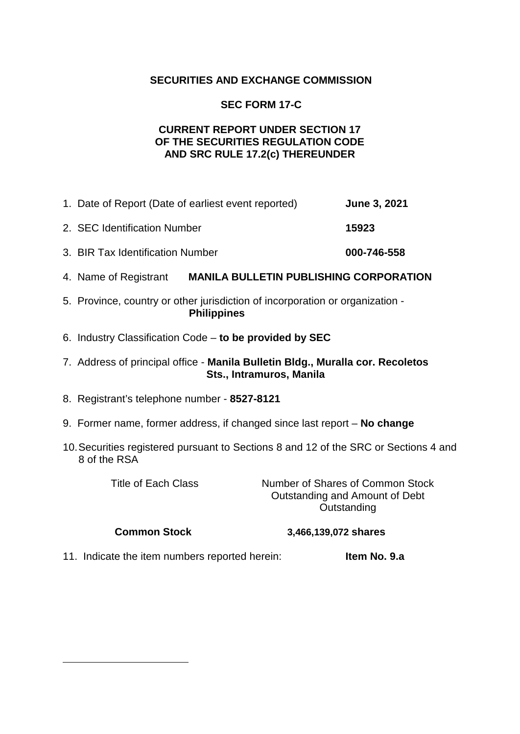# **SECURITIES AND EXCHANGE COMMISSION**

# **SEC FORM 17-C**

## **CURRENT REPORT UNDER SECTION 17 OF THE SECURITIES REGULATION CODE AND SRC RULE 17.2(c) THEREUNDER**

- 1. Date of Report (Date of earliest event reported) **June 3, 2021** 2. SEC Identification Number **15923** 3. BIR Tax Identification Number **000-746-558**
- 4. Name of Registrant **MANILA BULLETIN PUBLISHING CORPORATION**
- 5. Province, country or other jurisdiction of incorporation or organization **Philippines**
- 6. Industry Classification Code **to be provided by SEC**
- 7. Address of principal office **Manila Bulletin Bldg., Muralla cor. Recoletos Sts., Intramuros, Manila**
- 8. Registrant's telephone number **8527-8121**
- 9. Former name, former address, if changed since last report **No change**
- 10.Securities registered pursuant to Sections 8 and 12 of the SRC or Sections 4 and 8 of the RSA

Title of Each Class Number of Shares of Common Stock Outstanding and Amount of Debt **Outstanding** 

<span id="page-1-0"></span>-

#### **Common Stock 3,466,139,072 shares**

11. Indicate the item numbers reported herein: **Item No. 9.a**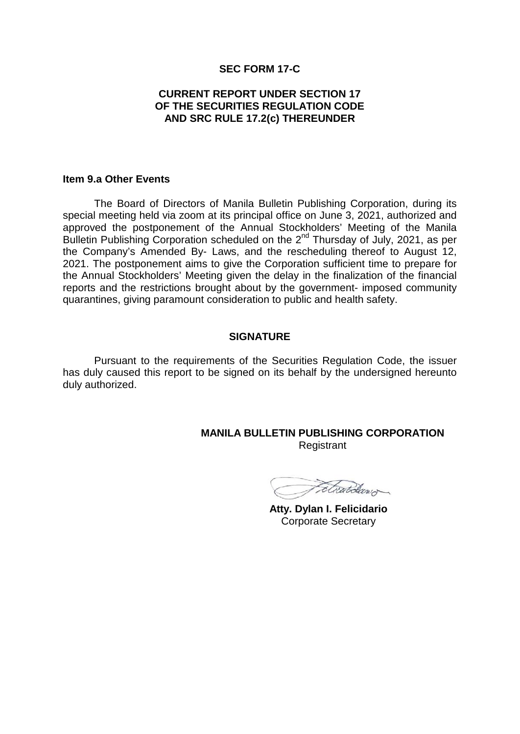#### **SEC FORM 17-C**

### **CURRENT REPORT UNDER SECTION 17 OF THE SECURITIES REGULATION CODE AND SRC RULE 17.2(c) THEREUNDER**

#### **Item 9.a Other Events**

The Board of Directors of Manila Bulletin Publishing Corporation, during its special meeting held via zoom at its principal office on June 3, 2021, authorized and approved the postponement of the Annual Stockholders' Meeting of the Manila Bulletin Publishing Corporation scheduled on the 2<sup>nd</sup> Thursday of July, 2021, as per the Company's Amended By- Laws, and the rescheduling thereof to August 12, 2021. The postponement aims to give the Corporation sufficient time to prepare for the Annual Stockholders' Meeting given the delay in the finalization of the financial reports and the restrictions brought about by the government- imposed community quarantines, giving paramount consideration to public and health safety.

#### **SIGNATURE**

Pursuant to the requirements of the Securities Regulation Code, the issuer has duly caused this report to be signed on its behalf by the undersigned hereunto duly authorized.

> **MANILA BULLETIN PUBLISHING CORPORATION** Registrant

Etwardan

 **Atty. Dylan I. Felicidario** Corporate Secretary